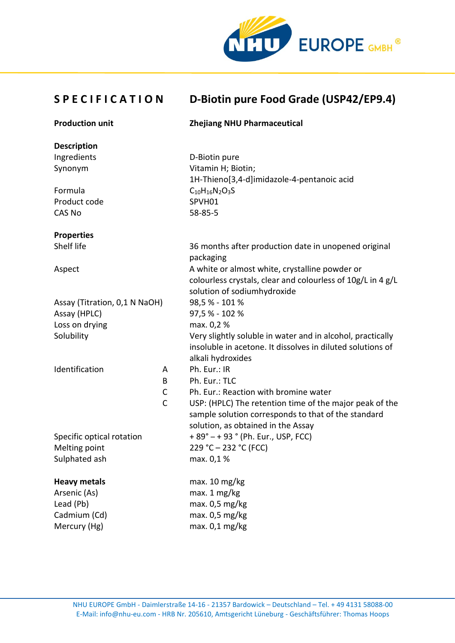

## **S P E C I F I C A T I O N D-Biotin pure Food Grade (USP42/EP9.4)**

| <b>Production unit</b>        |              | <b>Zhejiang NHU Pharmaceutical</b>                          |
|-------------------------------|--------------|-------------------------------------------------------------|
| <b>Description</b>            |              |                                                             |
| Ingredients                   |              | D-Biotin pure                                               |
| Synonym                       |              | Vitamin H; Biotin;                                          |
|                               |              | 1H-Thieno[3,4-d]imidazole-4-pentanoic acid                  |
| Formula                       |              | $C_{10}H_{16}N_2O_3S$                                       |
| Product code                  |              | SPVH01                                                      |
| <b>CAS No</b>                 |              | $58 - 85 - 5$                                               |
| <b>Properties</b>             |              |                                                             |
| Shelf life                    |              | 36 months after production date in unopened original        |
|                               |              | packaging                                                   |
| Aspect                        |              | A white or almost white, crystalline powder or              |
|                               |              | colourless crystals, clear and colourless of 10g/L in 4 g/L |
|                               |              | solution of sodiumhydroxide                                 |
| Assay (Titration, 0,1 N NaOH) |              | 98,5% - 101%                                                |
| Assay (HPLC)                  |              | 97,5% - 102%                                                |
| Loss on drying                |              | max. 0,2 %                                                  |
| Solubility                    |              | Very slightly soluble in water and in alcohol, practically  |
|                               |              | insoluble in acetone. It dissolves in diluted solutions of  |
| Identification                | A            | alkali hydroxides<br>Ph. Eur.: IR                           |
|                               | B            | Ph. Eur.: TLC                                               |
|                               | C            | Ph. Eur.: Reaction with bromine water                       |
|                               | $\mathsf{C}$ | USP: (HPLC) The retention time of the major peak of the     |
|                               |              | sample solution corresponds to that of the standard         |
|                               |              | solution, as obtained in the Assay                          |
| Specific optical rotation     |              | + 89° - + 93 ° (Ph. Eur., USP, FCC)                         |
| Melting point                 |              | 229 °C - 232 °C (FCC)                                       |
| Sulphated ash                 |              | max. 0,1%                                                   |
| <b>Heavy metals</b>           |              | max. 10 mg/kg                                               |
| Arsenic (As)                  |              | max. 1 mg/kg                                                |
| Lead (Pb)                     |              | max. 0.5 mg/kg                                              |
| Cadmium (Cd)                  |              | max. 0.5 mg/kg                                              |
| Mercury (Hg)                  |              | max. 0,1 mg/kg                                              |